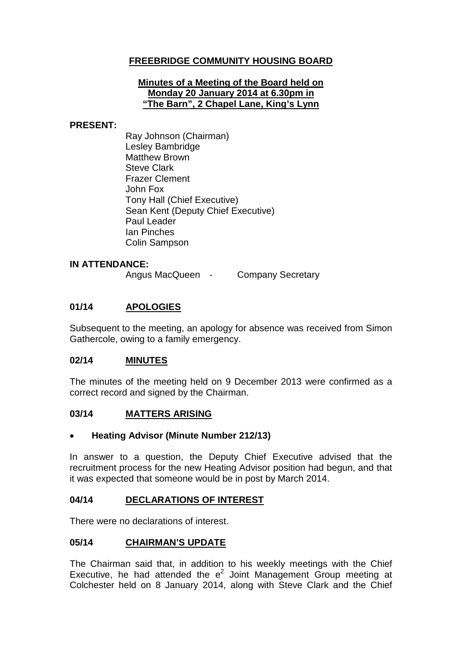# **FREEBRIDGE COMMUNITY HOUSING BOARD**

### **Minutes of a Meeting of the Board held on Monday 20 January 2014 at 6.30pm in "The Barn", 2 Chapel Lane, King's Lynn**

### **PRESENT:**

Ray Johnson (Chairman) Lesley Bambridge Matthew Brown Steve Clark Frazer Clement John Fox Tony Hall (Chief Executive) Sean Kent (Deputy Chief Executive) Paul Leader Ian Pinches Colin Sampson

### **IN ATTENDANCE:**

Angus MacQueen - Company Secretary

# **01/14 APOLOGIES**

Subsequent to the meeting, an apology for absence was received from Simon Gathercole, owing to a family emergency.

### **02/14 MINUTES**

The minutes of the meeting held on 9 December 2013 were confirmed as a correct record and signed by the Chairman.

### **03/14 MATTERS ARISING**

### • **Heating Advisor (Minute Number 212/13)**

In answer to a question, the Deputy Chief Executive advised that the recruitment process for the new Heating Advisor position had begun, and that it was expected that someone would be in post by March 2014.

### **04/14 DECLARATIONS OF INTEREST**

There were no declarations of interest.

### **05/14 CHAIRMAN'S UPDATE**

The Chairman said that, in addition to his weekly meetings with the Chief Executive, he had attended the  $e^2$  Joint Management Group meeting at Colchester held on 8 January 2014, along with Steve Clark and the Chief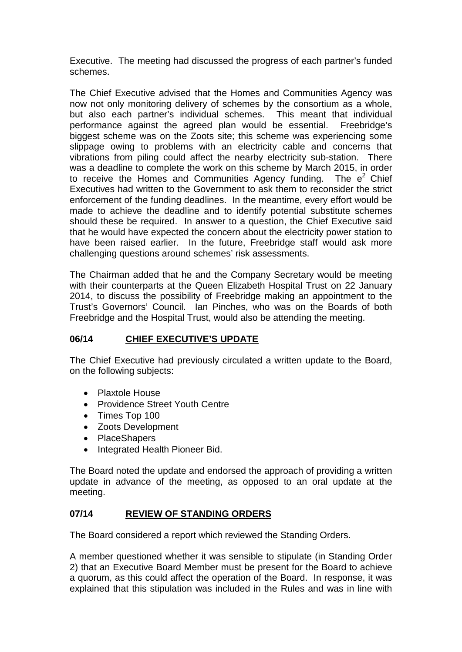Executive. The meeting had discussed the progress of each partner's funded schemes.

The Chief Executive advised that the Homes and Communities Agency was now not only monitoring delivery of schemes by the consortium as a whole, but also each partner's individual schemes. This meant that individual performance against the agreed plan would be essential. Freebridge's biggest scheme was on the Zoots site; this scheme was experiencing some slippage owing to problems with an electricity cable and concerns that vibrations from piling could affect the nearby electricity sub-station. There was a deadline to complete the work on this scheme by March 2015, in order to receive the Homes and Communities Agency funding. The  $e^2$  Chief Executives had written to the Government to ask them to reconsider the strict enforcement of the funding deadlines. In the meantime, every effort would be made to achieve the deadline and to identify potential substitute schemes should these be required. In answer to a question, the Chief Executive said that he would have expected the concern about the electricity power station to have been raised earlier. In the future, Freebridge staff would ask more challenging questions around schemes' risk assessments.

The Chairman added that he and the Company Secretary would be meeting with their counterparts at the Queen Elizabeth Hospital Trust on 22 January 2014, to discuss the possibility of Freebridge making an appointment to the Trust's Governors' Council. Ian Pinches, who was on the Boards of both Freebridge and the Hospital Trust, would also be attending the meeting.

# **06/14 CHIEF EXECUTIVE'S UPDATE**

The Chief Executive had previously circulated a written update to the Board, on the following subjects:

- Plaxtole House
- Providence Street Youth Centre
- Times Top 100
- Zoots Development
- PlaceShapers
- Integrated Health Pioneer Bid.

The Board noted the update and endorsed the approach of providing a written update in advance of the meeting, as opposed to an oral update at the meeting.

# **07/14 REVIEW OF STANDING ORDERS**

The Board considered a report which reviewed the Standing Orders.

A member questioned whether it was sensible to stipulate (in Standing Order 2) that an Executive Board Member must be present for the Board to achieve a quorum, as this could affect the operation of the Board. In response, it was explained that this stipulation was included in the Rules and was in line with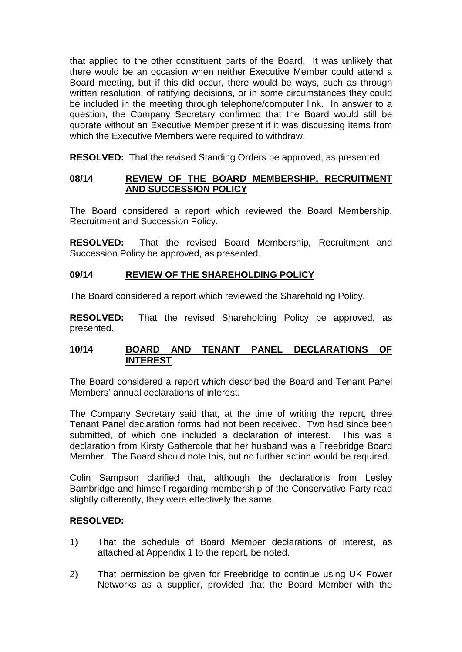that applied to the other constituent parts of the Board. It was unlikely that there would be an occasion when neither Executive Member could attend a Board meeting, but if this did occur, there would be ways, such as through written resolution, of ratifying decisions, or in some circumstances they could be included in the meeting through telephone/computer link. In answer to a question, the Company Secretary confirmed that the Board would still be quorate without an Executive Member present if it was discussing items from which the Executive Members were required to withdraw.

**RESOLVED:** That the revised Standing Orders be approved, as presented.

## **08/14 REVIEW OF THE BOARD MEMBERSHIP, RECRUITMENT AND SUCCESSION POLICY**

The Board considered a report which reviewed the Board Membership, Recruitment and Succession Policy.

**RESOLVED:** That the revised Board Membership, Recruitment and Succession Policy be approved, as presented.

# **09/14 REVIEW OF THE SHAREHOLDING POLICY**

The Board considered a report which reviewed the Shareholding Policy.

**RESOLVED:** That the revised Shareholding Policy be approved, as presented.

### **10/14 BOARD AND TENANT PANEL DECLARATIONS OF INTEREST**

The Board considered a report which described the Board and Tenant Panel Members' annual declarations of interest.

The Company Secretary said that, at the time of writing the report, three Tenant Panel declaration forms had not been received. Two had since been submitted, of which one included a declaration of interest. This was a declaration from Kirsty Gathercole that her husband was a Freebridge Board Member. The Board should note this, but no further action would be required.

Colin Sampson clarified that, although the declarations from Lesley Bambridge and himself regarding membership of the Conservative Party read slightly differently, they were effectively the same.

### **RESOLVED:**

- 1) That the schedule of Board Member declarations of interest, as attached at Appendix 1 to the report, be noted.
- 2) That permission be given for Freebridge to continue using UK Power Networks as a supplier, provided that the Board Member with the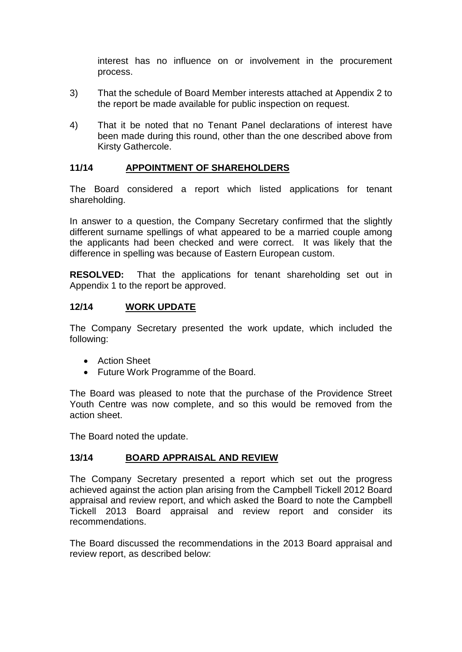interest has no influence on or involvement in the procurement process.

- 3) That the schedule of Board Member interests attached at Appendix 2 to the report be made available for public inspection on request.
- 4) That it be noted that no Tenant Panel declarations of interest have been made during this round, other than the one described above from Kirsty Gathercole.

# **11/14 APPOINTMENT OF SHAREHOLDERS**

The Board considered a report which listed applications for tenant shareholding.

In answer to a question, the Company Secretary confirmed that the slightly different surname spellings of what appeared to be a married couple among the applicants had been checked and were correct. It was likely that the difference in spelling was because of Eastern European custom.

**RESOLVED:** That the applications for tenant shareholding set out in Appendix 1 to the report be approved.

### **12/14 WORK UPDATE**

The Company Secretary presented the work update, which included the following:

- Action Sheet
- Future Work Programme of the Board.

The Board was pleased to note that the purchase of the Providence Street Youth Centre was now complete, and so this would be removed from the action sheet.

The Board noted the update.

### **13/14 BOARD APPRAISAL AND REVIEW**

The Company Secretary presented a report which set out the progress achieved against the action plan arising from the Campbell Tickell 2012 Board appraisal and review report, and which asked the Board to note the Campbell Tickell 2013 Board appraisal and review report and consider its recommendations.

The Board discussed the recommendations in the 2013 Board appraisal and review report, as described below: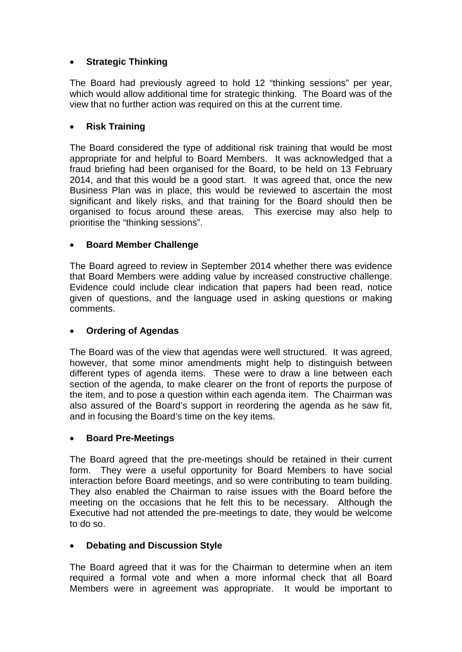# • **Strategic Thinking**

The Board had previously agreed to hold 12 "thinking sessions" per year, which would allow additional time for strategic thinking. The Board was of the view that no further action was required on this at the current time.

# • **Risk Training**

The Board considered the type of additional risk training that would be most appropriate for and helpful to Board Members. It was acknowledged that a fraud briefing had been organised for the Board, to be held on 13 February 2014, and that this would be a good start. It was agreed that, once the new Business Plan was in place, this would be reviewed to ascertain the most significant and likely risks, and that training for the Board should then be organised to focus around these areas. This exercise may also help to prioritise the "thinking sessions".

# • **Board Member Challenge**

The Board agreed to review in September 2014 whether there was evidence that Board Members were adding value by increased constructive challenge. Evidence could include clear indication that papers had been read, notice given of questions, and the language used in asking questions or making comments.

## • **Ordering of Agendas**

The Board was of the view that agendas were well structured. It was agreed, however, that some minor amendments might help to distinguish between different types of agenda items. These were to draw a line between each section of the agenda, to make clearer on the front of reports the purpose of the item, and to pose a question within each agenda item. The Chairman was also assured of the Board's support in reordering the agenda as he saw fit, and in focusing the Board's time on the key items.

### • **Board Pre-Meetings**

The Board agreed that the pre-meetings should be retained in their current form. They were a useful opportunity for Board Members to have social interaction before Board meetings, and so were contributing to team building. They also enabled the Chairman to raise issues with the Board before the meeting on the occasions that he felt this to be necessary. Although the Executive had not attended the pre-meetings to date, they would be welcome to do so.

### • **Debating and Discussion Style**

The Board agreed that it was for the Chairman to determine when an item required a formal vote and when a more informal check that all Board Members were in agreement was appropriate. It would be important to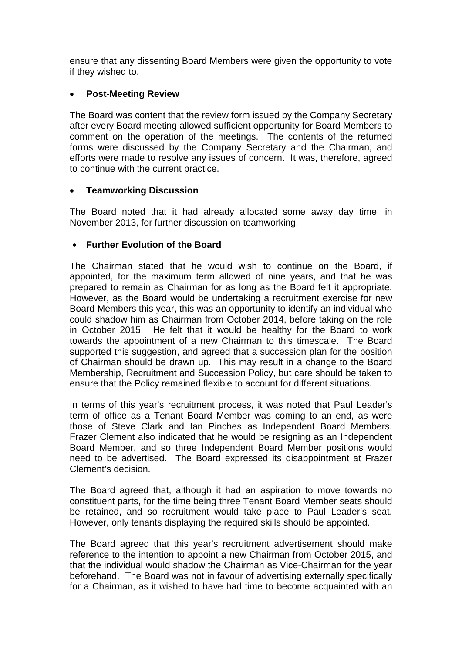ensure that any dissenting Board Members were given the opportunity to vote if they wished to.

# • **Post-Meeting Review**

The Board was content that the review form issued by the Company Secretary after every Board meeting allowed sufficient opportunity for Board Members to comment on the operation of the meetings. The contents of the returned forms were discussed by the Company Secretary and the Chairman, and efforts were made to resolve any issues of concern. It was, therefore, agreed to continue with the current practice.

# • **Teamworking Discussion**

The Board noted that it had already allocated some away day time, in November 2013, for further discussion on teamworking.

# • **Further Evolution of the Board**

The Chairman stated that he would wish to continue on the Board, if appointed, for the maximum term allowed of nine years, and that he was prepared to remain as Chairman for as long as the Board felt it appropriate. However, as the Board would be undertaking a recruitment exercise for new Board Members this year, this was an opportunity to identify an individual who could shadow him as Chairman from October 2014, before taking on the role in October 2015. He felt that it would be healthy for the Board to work towards the appointment of a new Chairman to this timescale. The Board supported this suggestion, and agreed that a succession plan for the position of Chairman should be drawn up. This may result in a change to the Board Membership, Recruitment and Succession Policy, but care should be taken to ensure that the Policy remained flexible to account for different situations.

In terms of this year's recruitment process, it was noted that Paul Leader's term of office as a Tenant Board Member was coming to an end, as were those of Steve Clark and Ian Pinches as Independent Board Members. Frazer Clement also indicated that he would be resigning as an Independent Board Member, and so three Independent Board Member positions would need to be advertised. The Board expressed its disappointment at Frazer Clement's decision.

The Board agreed that, although it had an aspiration to move towards no constituent parts, for the time being three Tenant Board Member seats should be retained, and so recruitment would take place to Paul Leader's seat. However, only tenants displaying the required skills should be appointed.

The Board agreed that this year's recruitment advertisement should make reference to the intention to appoint a new Chairman from October 2015, and that the individual would shadow the Chairman as Vice-Chairman for the year beforehand. The Board was not in favour of advertising externally specifically for a Chairman, as it wished to have had time to become acquainted with an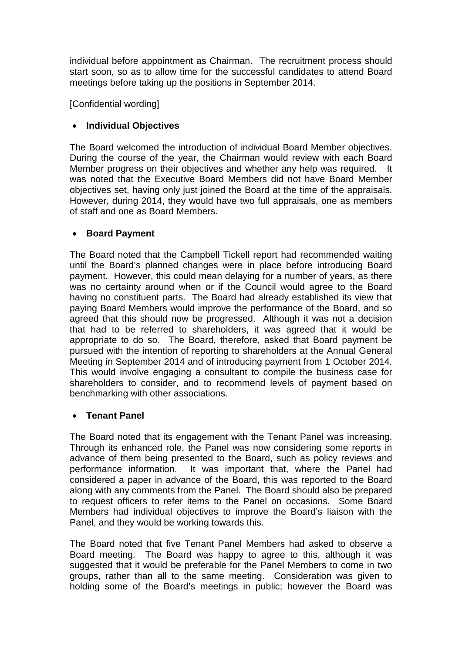individual before appointment as Chairman. The recruitment process should start soon, so as to allow time for the successful candidates to attend Board meetings before taking up the positions in September 2014.

[Confidential wording]

# • **Individual Objectives**

The Board welcomed the introduction of individual Board Member objectives. During the course of the year, the Chairman would review with each Board Member progress on their objectives and whether any help was required. It was noted that the Executive Board Members did not have Board Member objectives set, having only just joined the Board at the time of the appraisals. However, during 2014, they would have two full appraisals, one as members of staff and one as Board Members.

# • **Board Payment**

The Board noted that the Campbell Tickell report had recommended waiting until the Board's planned changes were in place before introducing Board payment. However, this could mean delaying for a number of years, as there was no certainty around when or if the Council would agree to the Board having no constituent parts. The Board had already established its view that paying Board Members would improve the performance of the Board, and so agreed that this should now be progressed. Although it was not a decision that had to be referred to shareholders, it was agreed that it would be appropriate to do so. The Board, therefore, asked that Board payment be pursued with the intention of reporting to shareholders at the Annual General Meeting in September 2014 and of introducing payment from 1 October 2014. This would involve engaging a consultant to compile the business case for shareholders to consider, and to recommend levels of payment based on benchmarking with other associations.

# • **Tenant Panel**

The Board noted that its engagement with the Tenant Panel was increasing. Through its enhanced role, the Panel was now considering some reports in advance of them being presented to the Board, such as policy reviews and performance information. It was important that, where the Panel had considered a paper in advance of the Board, this was reported to the Board along with any comments from the Panel. The Board should also be prepared to request officers to refer items to the Panel on occasions. Some Board Members had individual objectives to improve the Board's liaison with the Panel, and they would be working towards this.

The Board noted that five Tenant Panel Members had asked to observe a Board meeting. The Board was happy to agree to this, although it was suggested that it would be preferable for the Panel Members to come in two groups, rather than all to the same meeting. Consideration was given to holding some of the Board's meetings in public; however the Board was